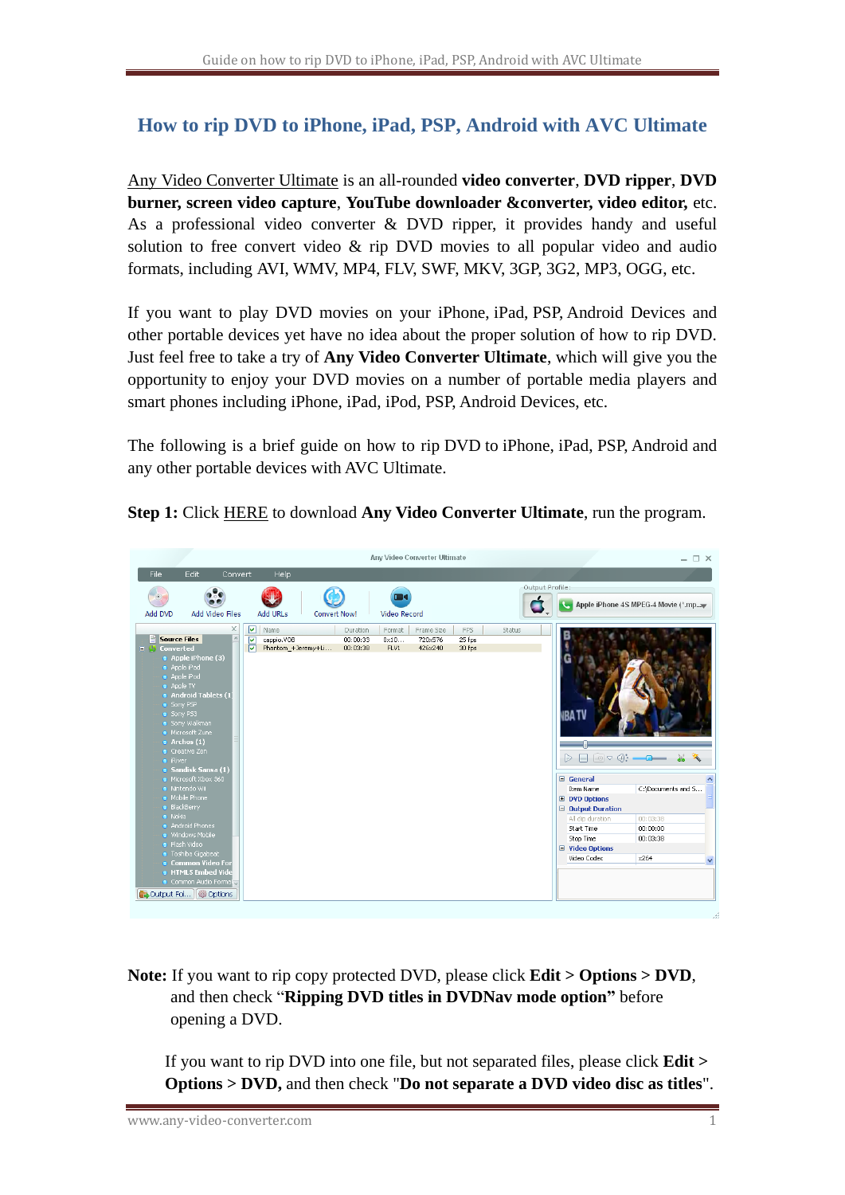## **How to rip DVD to iPhone, iPad, PSP, Android with AVC Ultimate**

[Any Video Converter Ultimate](http://www.any-video-converter.com/products/for_video_ultimate/) is an all-rounded **video converter**, **DVD ripper**, **DVD burner, screen video capture**, **YouTube downloader &converter, video editor,** etc. As a professional video converter & DVD ripper, it provides handy and useful solution to free convert video & rip DVD movies to all popular video and audio formats, including AVI, WMV, MP4, FLV, SWF, MKV, 3GP, 3G2, MP3, OGG, etc.

If you want to play DVD movies on your iPhone, iPad, PSP, Android Devices and other portable devices yet have no idea about the proper solution of how to rip DVD. Just feel free to take a try of **Any Video Converter Ultimate**, which will give you the opportunity to enjoy your DVD movies on a number of portable media players and smart phones including iPhone, iPad, iPod, PSP, Android Devices, etc.

The following is a brief guide on how to rip DVD to iPhone, iPad, PSP, Android and any other portable devices with AVC Ultimate.

**Step 1:** Click [HERE](http://www.any-video-converter.com/avc-ultimate.exe) to download **Any Video Converter Ultimate**, run the program.



**Note:** If you want to rip copy protected DVD, please click **Edit > Options > DVD**, and then check "**Ripping DVD titles in DVDNav mode option"** before opening a DVD.

If you want to rip DVD into one file, but not separated files, please click **Edit > Options > DVD,** and then check "**Do not separate a DVD video disc as titles**".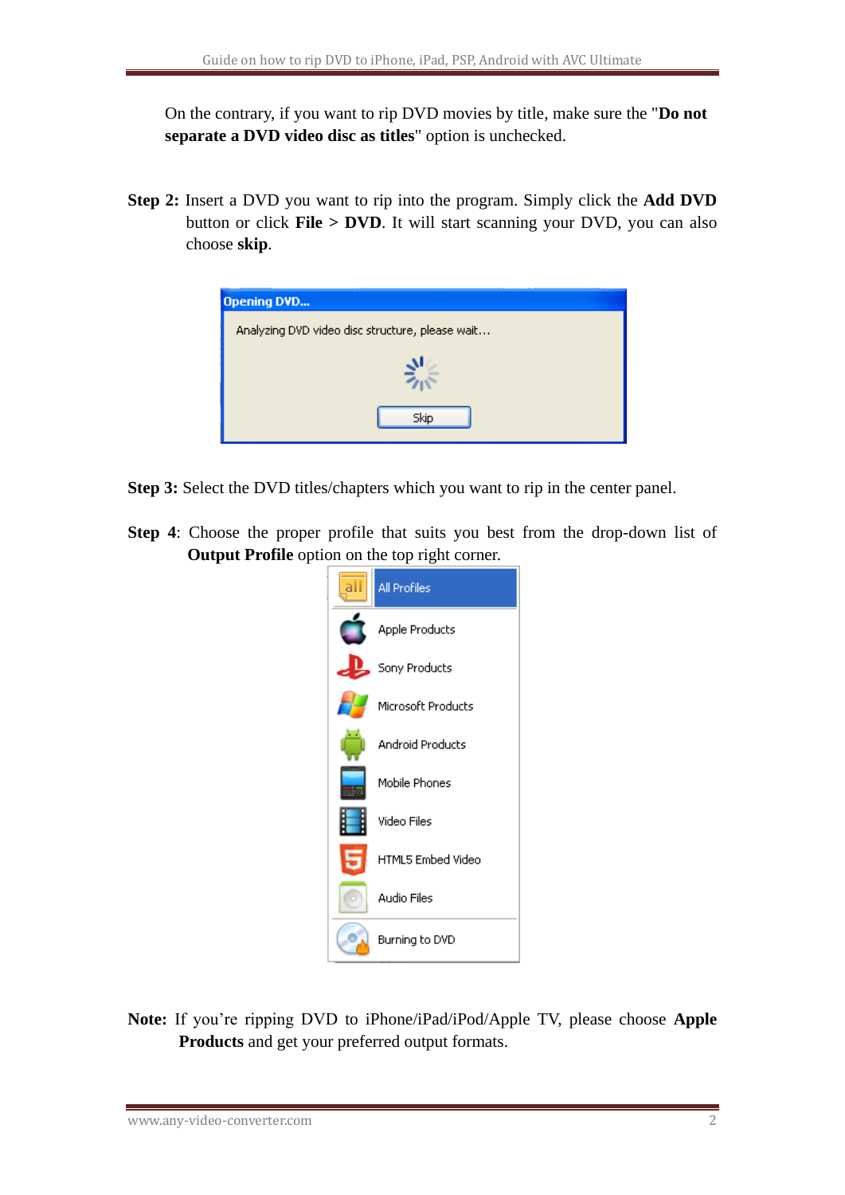On the contrary, if you want to rip DVD movies by title, make sure the "**Do not separate a DVD video disc as titles**" option is unchecked.

**Step 2:** Insert a DVD you want to rip into the program. Simply click the **Add DVD**  button or click **File > DVD**. It will start scanning your DVD, you can also choose **skip**.



**Step 3:** Select the DVD titles/chapters which you want to rip in the center panel.

**Step 4**: Choose the proper profile that suits you best from the drop-down list of **Output Profile** option on the top right corner.



**Note:** If you're ripping DVD to iPhone/iPad/iPod/Apple TV, please choose **Apple Products** and get your preferred output formats.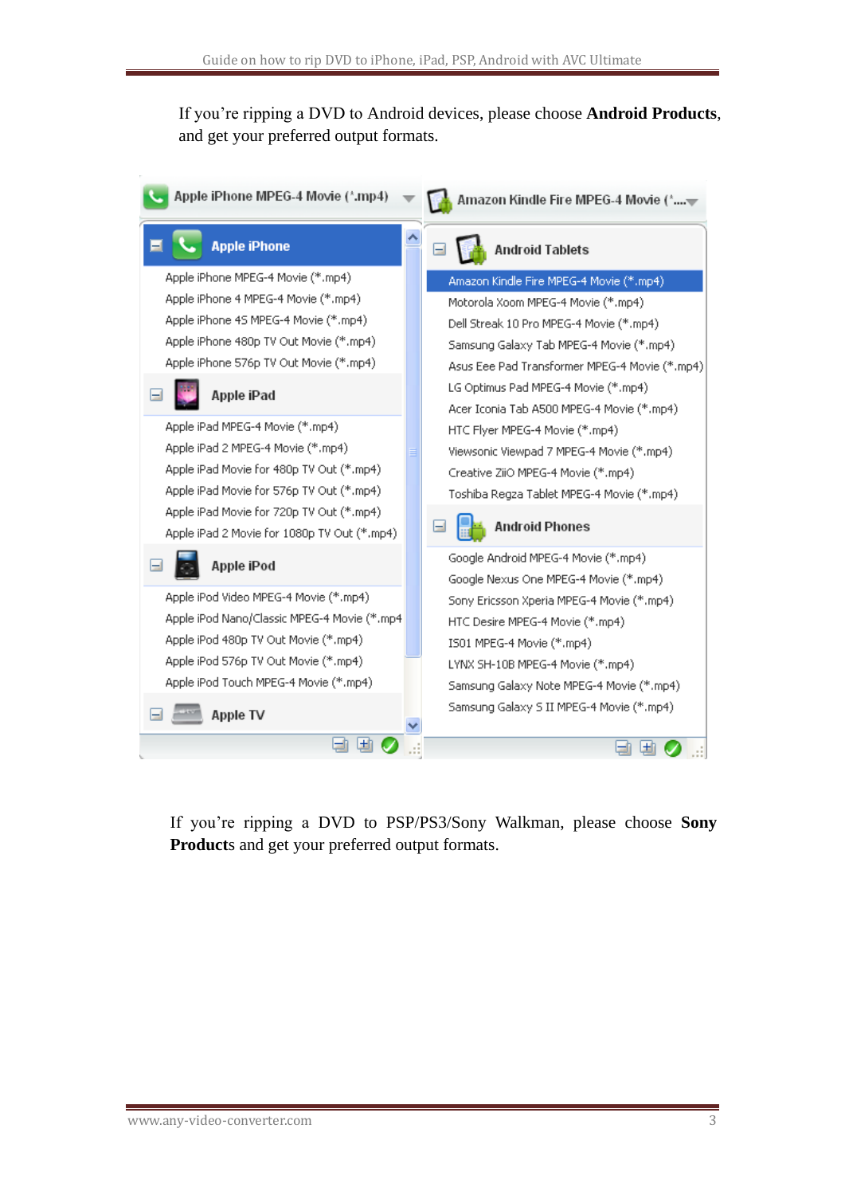If you're ripping a DVD to Android devices, please choose **Android Products**, and get your preferred output formats.

![](_page_2_Figure_2.jpeg)

If you're ripping a DVD to PSP/PS3/Sony Walkman, please choose **Sony Product**s and get your preferred output formats.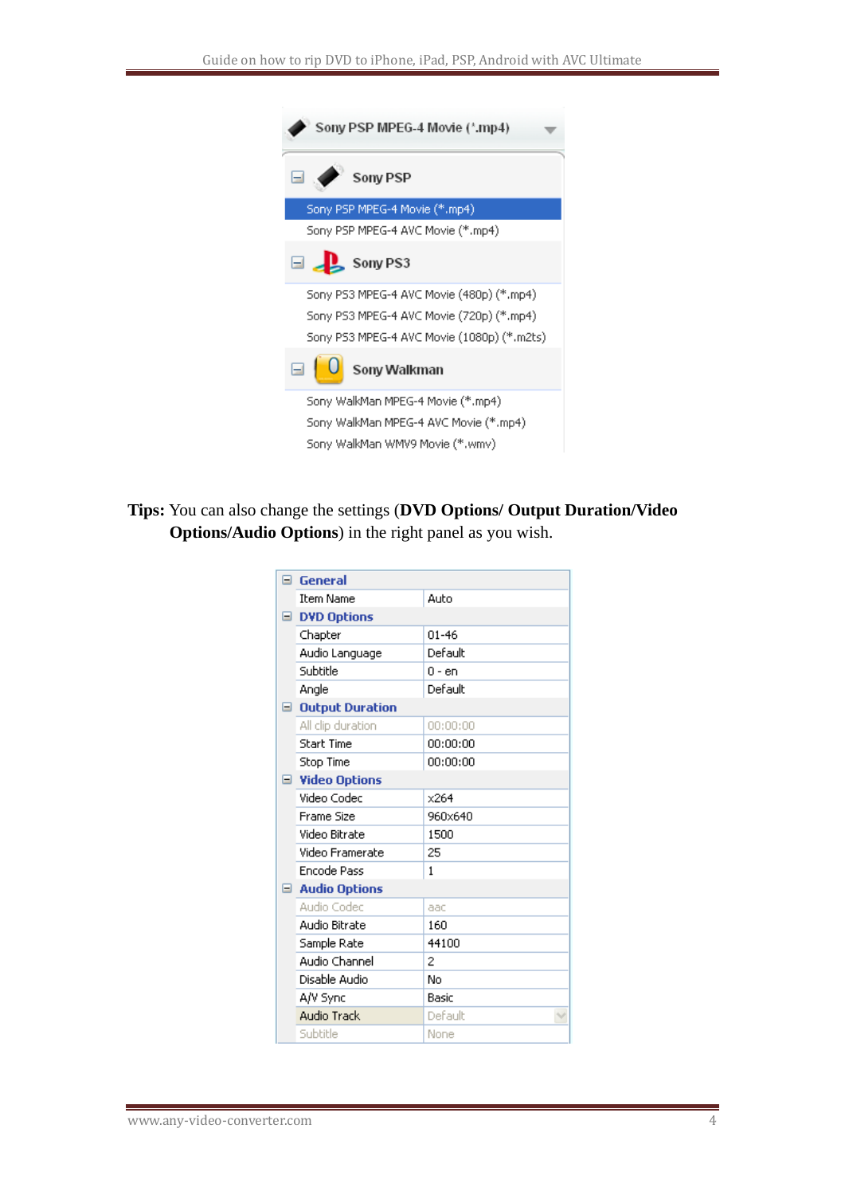| Sony PSP MPEG-4 Movie (*.mp4)                                            |  |  |  |
|--------------------------------------------------------------------------|--|--|--|
| Ξ.<br>Sony PSP                                                           |  |  |  |
| Sony PSP MPEG-4 Movie (*.mp4)                                            |  |  |  |
| Sony PSP MPEG-4 AVC Movie (*.mp4)                                        |  |  |  |
| $\Box$ Sony PS3                                                          |  |  |  |
| Sony PS3 MPEG-4 AVC Movie (480p) (*.mp4)                                 |  |  |  |
| Sony PS3 MPEG-4 AVC Movie (720p) (*.mp4)                                 |  |  |  |
| Sony PS3 MPEG-4 AVC Movie (1080p) (*.m2ts)                               |  |  |  |
| Sony Walkman                                                             |  |  |  |
| Sony WalkMan MPEG-4 Movie (*.mp4)                                        |  |  |  |
| Sony WalkMan MPEG-4 AVC Movie (*.mp4)<br>Sony WalkMan WMV9 Movie (*.wmv) |  |  |  |

**Tips:** You can also change the settings (**DVD Options/ Output Duration/Video Options/Audio Options**) in the right panel as you wish.

|  | $\boxminus$ General    |              |  |
|--|------------------------|--------------|--|
|  | <b>Item Name</b>       | Auto         |  |
|  | <b>DVD Options</b>     |              |  |
|  | Chapter                | $01 - 46$    |  |
|  | Audio Language         | Default      |  |
|  | Subtitle               | 0 - en       |  |
|  | Angle                  | Default      |  |
|  | □ Output Duration      |              |  |
|  | All clip duration      | 00:00:00     |  |
|  | <b>Start Time</b>      | 00:00:00     |  |
|  | Stop Time              | 00:00:00     |  |
|  | □ Video Options        |              |  |
|  | Video Codec            | x264         |  |
|  | Frame Size             | 960x640      |  |
|  | Video Bitrate          | 1500         |  |
|  | Video Framerate        | 25           |  |
|  | <b>Encode Pass</b>     | $\mathbf{1}$ |  |
|  | $\equiv$ Audio Options |              |  |
|  | Audio Codec            | aac          |  |
|  | Audio Bitrate          | 160          |  |
|  | Sample Rate            | 44100        |  |
|  | Audio Channel          | 2            |  |
|  | Disable Audio          | No           |  |
|  | A/V Sync               | Basic        |  |
|  | Audio Track            | Default      |  |
|  | Subtitle               | None         |  |
|  |                        |              |  |